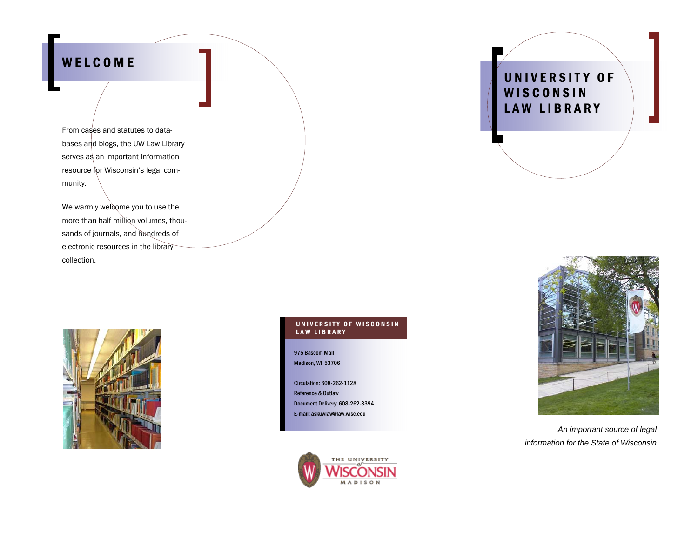## WELCOME

From cases and statutes to databases and blogs, the UW Law Library serves as an important information resource for Wisconsin's legal community.

We warmly welcome you to use the more than half million volumes, thousands of journals, and hundreds of electronic resources in the library collection.



#### UNIVERSITY OF WISCONSIN LAW LIBRARY

975 Bascom Mall Madison, WI 53706

Circulation: 608-262-1128 Reference & Outlaw Document Delivery: 608-262-3394 E-mail: askuwlaw@law.wisc.edu







*An important source of legal information for the State of Wisconsin*